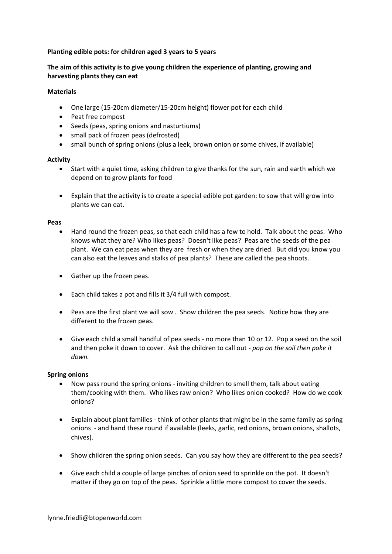# **Planting edible pots: for children aged 3 years to 5 years**

# **The aim of this activity is to give young children the experience of planting, growing and harvesting plants they can eat**

## **Materials**

- One large (15-20cm diameter/15-20cm height) flower pot for each child
- Peat free compost
- Seeds (peas, spring onions and nasturtiums)
- small pack of frozen peas (defrosted)
- small bunch of spring onions (plus a leek, brown onion or some chives, if available)

### **Activity**

- Start with a quiet time, asking children to give thanks for the sun, rain and earth which we depend on to grow plants for food
- Explain that the activity is to create a special edible pot garden: to sow that will grow into plants we can eat.

#### **Peas**

- Hand round the frozen peas, so that each child has a few to hold. Talk about the peas. Who knows what they are? Who likes peas? Doesn't like peas? Peas are the seeds of the pea plant. We can eat peas when they are fresh or when they are dried. But did you know you can also eat the leaves and stalks of pea plants? These are called the pea shoots.
- Gather up the frozen peas.
- Each child takes a pot and fills it 3/4 full with compost.
- Peas are the first plant we will sow . Show children the pea seeds. Notice how they are different to the frozen peas.
- Give each child a small handful of pea seeds no more than 10 or 12. Pop a seed on the soil and then poke it down to cover. Ask the children to call out - *pop on the soil then poke it down.*

## **Spring onions**

- Now pass round the spring onions inviting children to smell them, talk about eating them/cooking with them. Who likes raw onion? Who likes onion cooked? How do we cook onions?
- Explain about plant families think of other plants that might be in the same family as spring onions - and hand these round if available (leeks, garlic, red onions, brown onions, shallots, chives).
- Show children the spring onion seeds. Can you say how they are different to the pea seeds?
- Give each child a couple of large pinches of onion seed to sprinkle on the pot. It doesn't matter if they go on top of the peas. Sprinkle a little more compost to cover the seeds.